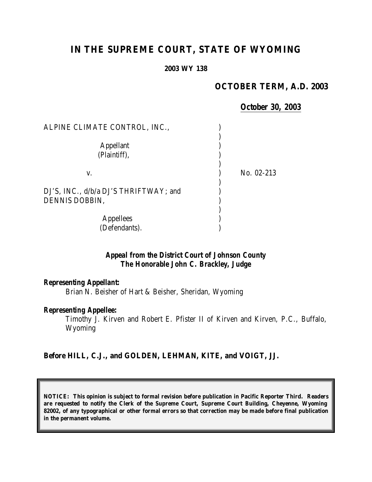# **IN THE SUPREME COURT, STATE OF WYOMING**

#### **2003 WY 138**

### **OCTOBER TERM, A.D. 2003**

### *October 30, 2003*

| ALPINE CLIMATE CONTROL, INC.,                           |              |
|---------------------------------------------------------|--------------|
| <b>Appellant</b><br>(Plaintiff),                        |              |
| V.                                                      | No. $02-213$ |
| DJ'S, INC., d/b/a DJ'S THRIFTWAY; and<br>DENNIS DOBBIN, |              |
| Appellees<br>(Defendants).                              |              |

# *Appeal from the District Court of Johnson County The Honorable John C. Brackley, Judge*

### *Representing Appellant:*

Brian N. Beisher of Hart & Beisher, Sheridan, Wyoming

#### *Representing Appellee:*

Timothy J. Kirven and Robert E. Pfister II of Kirven and Kirven, P.C., Buffalo, Wyoming

### **Before HILL, C.J., and GOLDEN, LEHMAN, KITE, and VOIGT, JJ.**

**NOTICE: This opinion is subject to formal revision before publication in Pacific Reporter Third. Readers are requested to notify the Clerk of the Supreme Court, Supreme Court Building, Cheyenne, Wyoming 82002, of any typographical or other formal errors so that correction may be made before final publication in the permanent volume.**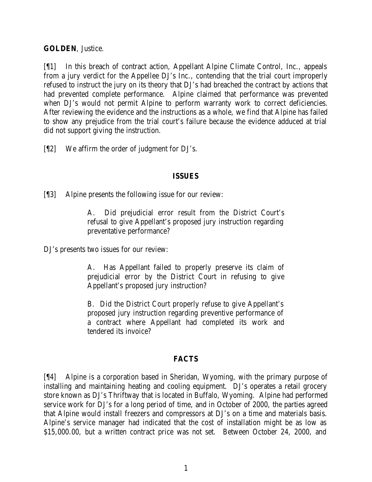**GOLDEN**, Justice.

[¶1] In this breach of contract action, Appellant Alpine Climate Control, Inc., appeals from a jury verdict for the Appellee DJ's Inc., contending that the trial court improperly refused to instruct the jury on its theory that DJ's had breached the contract by actions that had prevented complete performance. Alpine claimed that performance was prevented when DJ's would not permit Alpine to perform warranty work to correct deficiencies. After reviewing the evidence and the instructions as a whole, we find that Alpine has failed to show any prejudice from the trial court's failure because the evidence adduced at trial did not support giving the instruction.

[¶2] We affirm the order of judgment for DJ's.

### **ISSUES**

[¶3] Alpine presents the following issue for our review:

A. Did prejudicial error result from the District Court's refusal to give Appellant's proposed jury instruction regarding preventative performance?

DJ's presents two issues for our review:

A. Has Appellant failed to properly preserve its claim of prejudicial error by the District Court in refusing to give Appellant's proposed jury instruction?

B. Did the District Court properly refuse to give Appellant's proposed jury instruction regarding preventive performance of a contract where Appellant had completed its work and tendered its invoice?

# **FACTS**

[¶4] Alpine is a corporation based in Sheridan, Wyoming, with the primary purpose of installing and maintaining heating and cooling equipment. DJ's operates a retail grocery store known as DJ's Thriftway that is located in Buffalo, Wyoming. Alpine had performed service work for DJ's for a long period of time, and in October of 2000, the parties agreed that Alpine would install freezers and compressors at DJ's on a time and materials basis. Alpine's service manager had indicated that the cost of installation might be as low as \$15,000.00, but a written contract price was not set. Between October 24, 2000, and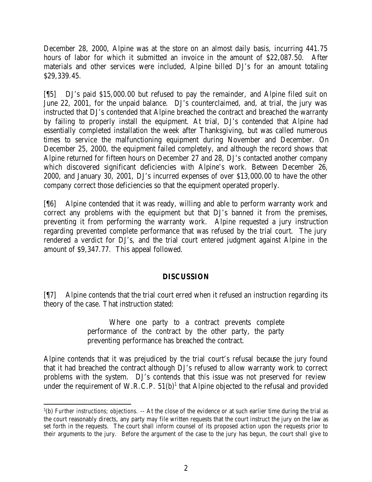December 28, 2000, Alpine was at the store on an almost daily basis, incurring 441.75 hours of labor for which it submitted an invoice in the amount of \$22,087.50. After materials and other services were included, Alpine billed DJ's for an amount totaling \$29,339.45.

[¶5] DJ's paid \$15,000.00 but refused to pay the remainder, and Alpine filed suit on June 22, 2001, for the unpaid balance. DJ's counterclaimed, and, at trial, the jury was instructed that DJ's contended that Alpine breached the contract and breached the warranty by failing to properly install the equipment. At trial, DJ's contended that Alpine had essentially completed installation the week after Thanksgiving, but was called numerous times to service the malfunctioning equipment during November and December. On December 25, 2000, the equipment failed completely, and although the record shows that Alpine returned for fifteen hours on December 27 and 28, DJ's contacted another company which discovered significant deficiencies with Alpine's work. Between December 26, 2000, and January 30, 2001, DJ's incurred expenses of over \$13,000.00 to have the other company correct those deficiencies so that the equipment operated properly.

[¶6] Alpine contended that it was ready, willing and able to perform warranty work and correct any problems with the equipment but that DJ's banned it from the premises, preventing it from performing the warranty work. Alpine requested a jury instruction regarding prevented complete performance that was refused by the trial court. The jury rendered a verdict for DJ's, and the trial court entered judgment against Alpine in the amount of \$9,347.77. This appeal followed.

# **DISCUSSION**

[¶7] Alpine contends that the trial court erred when it refused an instruction regarding its theory of the case. That instruction stated:

> Where one party to a contract prevents complete performance of the contract by the other party, the party preventing performance has breached the contract.

Alpine contends that it was prejudiced by the trial court's refusal because the jury found that it had breached the contract although DJ's refused to allow warranty work to correct problems with the system. DJ's contends that this issue was not preserved for review under the requirement of W.R.C.P.  $51(b)^1$  that Alpine objected to the refusal and provided

 <sup>1</sup>(b) *Further instructions; objections.* -- At the close of the evidence or at such earlier time during the trial as the court reasonably directs, any party may file written requests that the court instruct the jury on the law as set forth in the requests. The court shall inform counsel of its proposed action upon the requests prior to their arguments to the jury. Before the argument of the case to the jury has begun, the court shall give to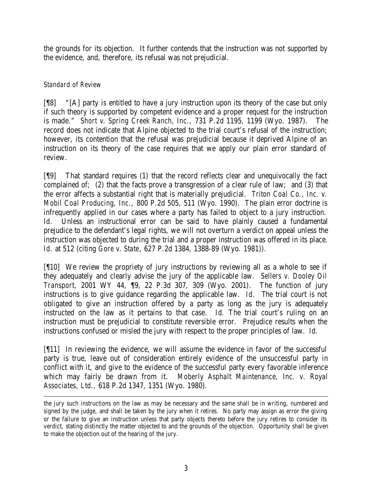the grounds for its objection. It further contends that the instruction was not supported by the evidence, and, therefore, its refusal was not prejudicial.

# *Standard of Review*

[¶8] "[A] party is entitled to have a jury instruction upon its theory of the case but only if such theory is supported by competent evidence and a proper request for the instruction is made." *Short v. Spring Creek Ranch, Inc.,* 731 P.2d 1195, 1199 (Wyo. 1987). The record does not indicate that Alpine objected to the trial court's refusal of the instruction; however, its contention that the refusal was prejudicial because it deprived Alpine of an instruction on its theory of the case requires that we apply our plain error standard of review.

[¶9] That standard requires (1) that the record reflects clear and unequivocally the fact complained of; (2) that the facts prove a transgression of a clear rule of law; and (3) that the error affects a substantial right that is materially prejudicial. *Triton Coal Co., Inc. v. Mobil Coal Producing, Inc.,* 800 P.2d 505, 511 (Wyo. 1990). The plain error doctrine is infrequently applied in our cases where a party has failed to object to a jury instruction. Id. Unless an instructional error can be said to have plainly caused a fundamental prejudice to the defendant's legal rights, we will not overturn a verdict on appeal unless the instruction was objected to during the trial and a proper instruction was offered in its place. *Id.* at 512 (citing *Gore v. State*, 627 P.2d 1384, 1388-89 (Wyo. 1981)).

[¶10] We review the propriety of jury instructions by reviewing all as a whole to see if they adequately and clearly advise the jury of the applicable law. *Sellers v. Dooley Oil Transport,* 2001 WY 44, ¶9, 22 P.3d 307, 309 (Wyo. 2001). The function of jury instructions is to give guidance regarding the applicable law. *Id. T*he trial court is not obligated to give an instruction offered by a party as long as the jury is adequately instructed on the law as it pertains to that case. *Id.* The trial court's ruling on an instruction must be prejudicial to constitute reversible error. Prejudice results when the instructions confused or misled the jury with respect to the proper principles of law. *Id.*

[¶11] In reviewing the evidence, we will assume the evidence in favor of the successful party is true, leave out of consideration entirely evidence of the unsuccessful party in conflict with it, and give to the evidence of the successful party every favorable inference which may fairly be drawn from it. *Moberly Asphalt Maintenance, Inc. v. Royal Associates, Ltd.,* 618 P.2d 1347, 1351 (Wyo. 1980).

the jury such instructions on the law as may be necessary and the same shall be in writing, numbered and signed by the judge, and shall be taken by the jury when it retires. No party may assign as error the giving or the failure to give an instruction unless that party objects thereto before the jury retires to consider its verdict, stating distinctly the matter objected to and the grounds of the objection. Opportunity shall be given to make the objection out of the hearing of the jury.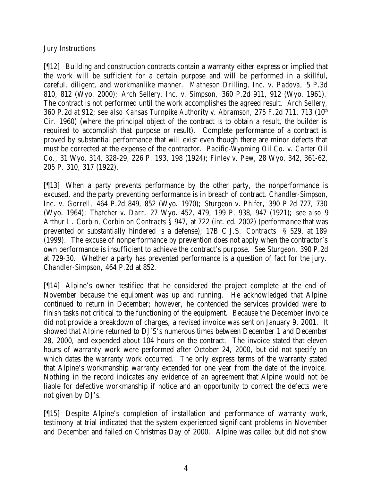# *Jury Instructions*

[¶12] Building and construction contracts contain a warranty either express or implied that the work will be sufficient for a certain purpose and will be performed in a skillful, careful, diligent, and workmanlike manner. *Matheson Drilling, Inc. v. Padova,* 5 P.3d 810, 812 (Wyo. 2000); *Arch Sellery, Inc. v. Simpson,* 360 P.2d 911, 912 (Wyo. 1961). The contract is not performed until the work accomplishes the agreed result. *Arch Sellery,*  360 P.2d at 912; *see also Kansas Turnpike Authority v. Abramson,* 275 F.2d 711, 713 (10th Cir. 1960) (where the principal object of the contract is to obtain a result, the builder is required to accomplish that purpose or result). Complete performance of a contract is proved by substantial performance that will exist even though there are minor defects that must be corrected at the expense of the contractor. *Pacific-Wyoming Oil Co. v. Carter Oil Co.,* 31 Wyo. 314, 328-29, 226 P. 193, 198 (1924); *Finley v. Pew,* 28 Wyo. 342, 361-62, 205 P. 310, 317 (1922).

[¶13] When a party prevents performance by the other party, the nonperformance is excused, and the party preventing performance is in breach of contract. *Chandler-Simpson, Inc. v. Gorrell,* 464 P.2d 849, 852 (Wyo. 1970); *Sturgeon v. Phifer,* 390 P.2d 727, 730 (Wyo. 1964); *Thatcher v. Darr,* 27 Wyo. 452, 479, 199 P. 938, 947 (1921); *see also* 9 Arthur L. Corbin, *Corbin on Contracts* § 947, at 722 (int. ed. 2002) (performance that was prevented or substantially hindered is a defense); 17B C.J.S. *Contracts* § 529, at 189 (1999). The excuse of nonperformance by prevention does not apply when the contractor's own performance is insufficient to achieve the contract's purpose. *See Sturgeon,* 390 P.2d at 729-30. Whether a party has prevented performance is a question of fact for the jury. *Chandler-Simpson*, 464 P.2d at 852.

[¶14] Alpine's owner testified that he considered the project complete at the end of November because the equipment was up and running. He acknowledged that Alpine continued to return in December; however, he contended the services provided were to finish tasks not critical to the functioning of the equipment. Because the December invoice did not provide a breakdown of charges, a revised invoice was sent on January 9, 2001. It showed that Alpine returned to DJ'S's numerous times between December 1 and December 28, 2000, and expended about 104 hours on the contract. The invoice stated that eleven hours of warranty work were performed after October 24, 2000, but did not specify on which dates the warranty work occurred. The only express terms of the warranty stated that Alpine's workmanship warranty extended for one year from the date of the invoice. Nothing in the record indicates any evidence of an agreement that Alpine would not be liable for defective workmanship if notice and an opportunity to correct the defects were not given by DJ's.

[¶15] Despite Alpine's completion of installation and performance of warranty work, testimony at trial indicated that the system experienced significant problems in November and December and failed on Christmas Day of 2000. Alpine was called but did not show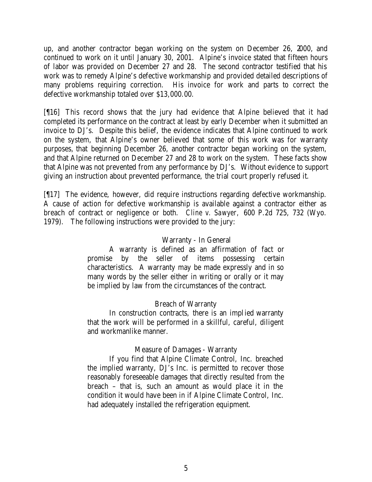up, and another contractor began working on the system on December 26, 2000, and continued to work on it until January 30, 2001. Alpine's invoice stated that fifteen hours of labor was provided on December 27 and 28. The second contractor testified that his work was to remedy Alpine's defective workmanship and provided detailed descriptions of many problems requiring correction. His invoice for work and parts to correct the defective workmanship totaled over \$13,000.00.

[¶16] This record shows that the jury had evidence that Alpine believed that it had completed its performance on the contract at least by early December when it submitted an invoice to DJ's. Despite this belief, the evidence indicates that Alpine continued to work on the system, that Alpine's owner believed that some of this work was for warranty purposes, that beginning December 26, another contractor began working on the system, and that Alpine returned on December 27 and 28 to work on the system. These facts show that Alpine was not prevented from any performance by DJ's. Without evidence to support giving an instruction about prevented performance, the trial court properly refused it.

[¶17] The evidence, however, did require instructions regarding defective workmanship. A cause of action for defective workmanship is available against a contractor either as breach of contract or negligence or both. *Cline v. Sawyer,* 600 P.2d 725, 732 (Wyo. 1979). The following instructions were provided to the jury:

### Warranty - In General

A warranty is defined as an affirmation of fact or promise by the seller of items possessing certain characteristics. A warranty may be made expressly and in so many words by the seller either in writing or orally or it may be implied by law from the circumstances of the contract.

# Breach of Warranty

In construction contracts, there is an implied warranty that the work will be performed in a skillful, careful, diligent and workmanlike manner.

# Measure of Damages - Warranty

If you find that Alpine Climate Control, Inc. breached the implied warranty, DJ's Inc. is permitted to recover those reasonably foreseeable damages that directly resulted from the breach – that is, such an amount as would place it in the condition it would have been in if Alpine Climate Control, Inc. had adequately installed the refrigeration equipment.